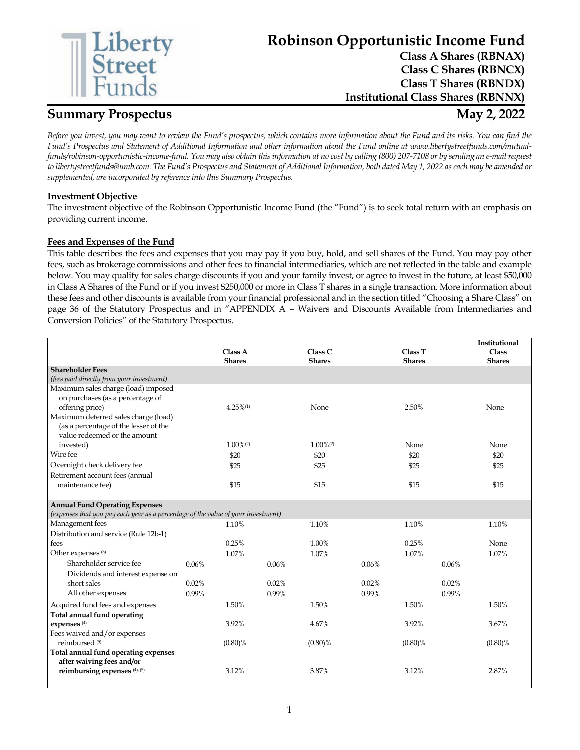

# **Robinson Opportunistic Income Fund**

**Class A Shares (RBNAX) Class C Shares (RBNCX) Class T Shares (RBNDX) Institutional Class Shares (RBNNX)**

## **Summary Prospectus May 2, 2022**

*Before you invest, you may want to review the Fund's prospectus, which contains more information about the Fund and its risks. You can find the Fund's Prospectus and Statement of Additional Information and other information about the Fund online at www.libertystreetfunds.com/mutualfunds/robinson-opportunistic-income-fund. You may also obtain this information at no cost by calling (800) 207-7108 or by sending an e-mail request to libertystreetfunds@umb.com. The Fund's Prospectus and Statement of Additional Information, both dated May 1, 2022 as each may be amended or supplemented, are incorporated by reference into this Summary Prospectus.*

## **Investment Objective**

The investment objective of the Robinson Opportunistic Income Fund (the "Fund") is to seek total return with an emphasis on providing current income.

## **Fees and Expenses of the Fund**

This table describes the fees and expenses that you may pay if you buy, hold, and sell shares of the Fund. You may pay other fees, such as brokerage commissions and other fees to financial intermediaries, which are not reflected in the table and example below. You may qualify for sales charge discounts if you and your family invest, or agree to invest in the future, at least \$50,000 in Class A Shares of the Fund or if you invest \$250,000 or more in Class T shares in a single transaction. More information about these fees and other discounts is available from your financial professional and in the section titled "Choosing a Share Class" on page 36 of the Statutory Prospectus and in "APPENDIX A – Waivers and Discounts Available from Intermediaries and Conversion Policies" of the Statutory Prospectus.

|                                                                                   |       |                         |       |                         |       |               |       | Institutional |
|-----------------------------------------------------------------------------------|-------|-------------------------|-------|-------------------------|-------|---------------|-------|---------------|
|                                                                                   |       | Class A                 |       | Class C                 |       | Class T       |       | Class         |
|                                                                                   |       | <b>Shares</b>           |       | <b>Shares</b>           |       | <b>Shares</b> |       | <b>Shares</b> |
| <b>Shareholder Fees</b>                                                           |       |                         |       |                         |       |               |       |               |
| (fees paid directly from your investment)                                         |       |                         |       |                         |       |               |       |               |
| Maximum sales charge (load) imposed                                               |       |                         |       |                         |       |               |       |               |
| on purchases (as a percentage of<br>offering price)                               |       | $4.25\%$ <sup>(1)</sup> |       | None                    |       | 2.50%         |       | None          |
| Maximum deferred sales charge (load)                                              |       |                         |       |                         |       |               |       |               |
| (as a percentage of the lesser of the                                             |       |                         |       |                         |       |               |       |               |
| value redeemed or the amount                                                      |       |                         |       |                         |       |               |       |               |
| invested)                                                                         |       | $1.00\%$ <sup>(2)</sup> |       | $1.00\%$ <sup>(2)</sup> |       | None          |       | None          |
| Wire fee                                                                          |       | \$20                    |       | \$20                    |       | \$20          |       | \$20          |
| Overnight check delivery fee                                                      |       | \$25                    |       | \$25                    |       | \$25          |       | \$25          |
| Retirement account fees (annual                                                   |       |                         |       |                         |       |               |       |               |
| maintenance fee)                                                                  |       | \$15                    |       | \$15                    |       | \$15          |       | \$15          |
|                                                                                   |       |                         |       |                         |       |               |       |               |
| <b>Annual Fund Operating Expenses</b>                                             |       |                         |       |                         |       |               |       |               |
| (expenses that you pay each year as a percentage of the value of your investment) |       |                         |       |                         |       |               |       |               |
| Management fees                                                                   |       | 1.10%                   |       | 1.10%                   |       | 1.10%         |       | 1.10%         |
| Distribution and service (Rule 12b-1)                                             |       |                         |       |                         |       |               |       |               |
| fees                                                                              |       | 0.25%                   |       | 1.00%                   |       | 0.25%         |       | None          |
| Other expenses <sup>(3)</sup>                                                     |       | 1.07%                   |       | 1.07%                   |       | 1.07%         |       | 1.07%         |
| Shareholder service fee                                                           | 0.06% |                         | 0.06% |                         | 0.06% |               | 0.06% |               |
| Dividends and interest expense on                                                 |       |                         |       |                         |       |               |       |               |
| short sales                                                                       | 0.02% |                         | 0.02% |                         | 0.02% |               | 0.02% |               |
| All other expenses                                                                | 0.99% |                         | 0.99% |                         | 0.99% |               | 0.99% |               |
| Acquired fund fees and expenses                                                   |       | 1.50%                   |       | 1.50%                   |       | 1.50%         |       | 1.50%         |
| Total annual fund operating                                                       |       |                         |       |                         |       |               |       |               |
| expenses <sup>(4)</sup>                                                           |       | 3.92%                   |       | 4.67%                   |       | 3.92%         |       | 3.67%         |
| Fees waived and/or expenses                                                       |       |                         |       |                         |       |               |       |               |
| reimbursed <sup>(5)</sup>                                                         |       | $(0.80)\%$              |       | $(0.80)\%$              |       | $(0.80)\%$    |       | $(0.80)\%$    |
| Total annual fund operating expenses                                              |       |                         |       |                         |       |               |       |               |
| after waiving fees and/or<br>reimbursing expenses (4), (5)                        |       | 3.12%                   |       | 3.87%                   |       | 3.12%         |       | 2.87%         |
|                                                                                   |       |                         |       |                         |       |               |       |               |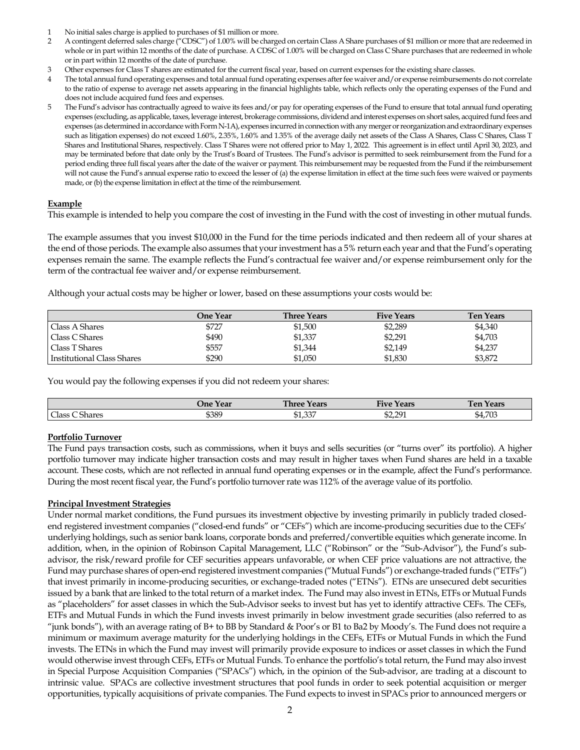- 1 No initial sales charge is applied to purchases of \$1 million or more.
- 2 A contingent deferred sales charge ("CDSC") of 1.00% will be charged on certain Class A Share purchases of \$1 million or more that are redeemed in whole or in part within 12 months of the date of purchase. A CDSC of 1.00% will be charged on Class C Share purchases that are redeemed in whole or in part within 12 months of the date of purchase.
- 3 Other expenses for Class T shares are estimated for the current fiscal year, based on current expenses for the existing share classes.
- 4 The total annual fund operating expenses and total annual fund operating expenses after fee waiver and/or expense reimbursements do not correlate to the ratio of expense to average net assets appearing in the financial highlights table, which reflects only the operating expenses of the Fund and does not include acquired fund fees and expenses.
- The Fund's advisor has contractually agreed to waive its fees and/or pay for operating expenses of the Fund to ensure that total annual fund operating expenses (excluding, as applicable, taxes, leverage interest, brokerage commissions, dividend and interest expenses on short sales, acquired fund fees and expenses (as determined in accordance with Form N-1A), expenses incurred in connection with any merger or reorganization and extraordinary expenses such as litigation expenses) do not exceed 1.60%, 2.35%, 1.60% and 1.35% of the average daily net assets of the Class A Shares, Class C Shares, Class T Shares and Institutional Shares, respectively. Class T Shares were not offered prior to May 1, 2022. This agreement is in effect until April 30, 2023, and may be terminated before that date only by the Trust's Board of Trustees. The Fund's advisor is permitted to seek reimbursement from the Fund for a period ending three full fiscal years after the date of the waiver or payment. This reimbursement may be requested from the Fund if the reimbursement will not cause the Fund's annual expense ratio to exceed the lesser of (a) the expense limitation in effect at the time such fees were waived or payments made, or (b) the expense limitation in effect at the time of the reimbursement.

#### **Example**

This example is intended to help you compare the cost of investing in the Fund with the cost of investing in other mutual funds.

The example assumes that you invest \$10,000 in the Fund for the time periods indicated and then redeem all of your shares at the end of those periods. The example also assumes that your investment has a 5% return each year and that the Fund's operating expenses remain the same. The example reflects the Fund's contractual fee waiver and/or expense reimbursement only for the term of the contractual fee waiver and/or expense reimbursement.

Although your actual costs may be higher or lower, based on these assumptions your costs would be:

|                            | One Year | <b>Three Years</b> | <b>Five Years</b> | <b>Ten Years</b> |
|----------------------------|----------|--------------------|-------------------|------------------|
| Class A Shares             | \$727    | \$1,500            | \$2,289           | \$4,340          |
| Class C Shares             | \$490    | \$1,337            | \$2,291           | \$4,703          |
| Class T Shares             | \$557    | \$1,344            | \$2,149           | \$4,237          |
| Institutional Class Shares | \$290    | \$1,050            | \$1,830           | \$3,872          |

You would pay the following expenses if you did not redeem your shares:

|                                            | Year<br>Jne | <b>Three</b><br>Years     | $\mathbf{r}$<br>Five<br>Years | Years<br>l en            |
|--------------------------------------------|-------------|---------------------------|-------------------------------|--------------------------|
| $\sim$<br>$\sim$ $\sim$<br>Class<br>Shares | \$389       | $\Omega$<br>ሰተ<br>\$1,33. | \$2.291<br>\$2,291            | $\neg \alpha$<br>\$4,703 |

## **Portfolio Turnover**

The Fund pays transaction costs, such as commissions, when it buys and sells securities (or "turns over" its portfolio). A higher portfolio turnover may indicate higher transaction costs and may result in higher taxes when Fund shares are held in a taxable account. These costs, which are not reflected in annual fund operating expenses or in the example, affect the Fund's performance. During the most recent fiscal year, the Fund's portfolio turnover rate was 112% of the average value of its portfolio.

## **Principal Investment Strategies**

Under normal market conditions, the Fund pursues its investment objective by investing primarily in publicly traded closedend registered investment companies ("closed-end funds" or "CEFs") which are income-producing securities due to the CEFs' underlying holdings, such as senior bank loans, corporate bonds and preferred/convertible equities which generate income. In addition, when, in the opinion of Robinson Capital Management, LLC ("Robinson" or the "Sub-Advisor"), the Fund's subadvisor, the risk/reward profile for CEF securities appears unfavorable, or when CEF price valuations are not attractive, the Fund may purchase shares of open-end registered investment companies ("Mutual Funds") or exchange-traded funds ("ETFs") that invest primarily in income-producing securities, or exchange-traded notes ("ETNs"). ETNs are unsecured debt securities issued by a bank that are linked to the total return of a market index. The Fund may also invest in ETNs, ETFs or Mutual Funds as "placeholders" for asset classes in which the Sub-Advisor seeks to invest but has yet to identify attractive CEFs. The CEFs, ETFs and Mutual Funds in which the Fund invests invest primarily in below investment grade securities (also referred to as "junk bonds"), with an average rating of B+ to BB by Standard & Poor's or B1 to Ba2 by Moody's. The Fund does not require a minimum or maximum average maturity for the underlying holdings in the CEFs, ETFs or Mutual Funds in which the Fund invests. The ETNs in which the Fund may invest will primarily provide exposure to indices or asset classes in which the Fund would otherwise invest through CEFs, ETFs or Mutual Funds. To enhance the portfolio's total return, the Fund may also invest in Special Purpose Acquisition Companies ("SPACs") which, in the opinion of the Sub-advisor, are trading at a discount to intrinsic value. SPACs are collective investment structures that pool funds in order to seek potential acquisition or merger opportunities, typically acquisitions of private companies. The Fund expects to invest in SPACs prior to announced mergers or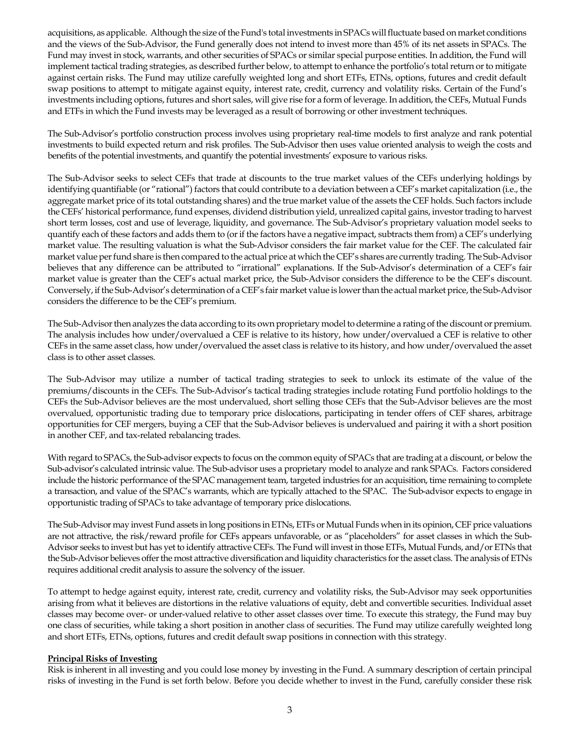acquisitions, as applicable. Although the size of the Fund's total investments in SPACs will fluctuate based on market conditions and the views of the Sub-Advisor, the Fund generally does not intend to invest more than 45% of its net assets in SPACs. The Fund may invest in stock, warrants, and other securities of SPACs or similar special purpose entities. In addition, the Fund will implement tactical trading strategies, as described further below, to attempt to enhance the portfolio's total return or to mitigate against certain risks. The Fund may utilize carefully weighted long and short ETFs, ETNs, options, futures and credit default swap positions to attempt to mitigate against equity, interest rate, credit, currency and volatility risks. Certain of the Fund's investments including options, futures and short sales, will give rise for a form of leverage. In addition, the CEFs, Mutual Funds and ETFs in which the Fund invests may be leveraged as a result of borrowing or other investment techniques.

The Sub-Advisor's portfolio construction process involves using proprietary real-time models to first analyze and rank potential investments to build expected return and risk profiles. The Sub-Advisor then uses value oriented analysis to weigh the costs and benefits of the potential investments, and quantify the potential investments' exposure to various risks.

The Sub-Advisor seeks to select CEFs that trade at discounts to the true market values of the CEFs underlying holdings by identifying quantifiable (or "rational") factors that could contribute to a deviation between a CEF's market capitalization (i.e., the aggregate market price of its total outstanding shares) and the true market value of the assets the CEF holds. Such factors include the CEFs' historical performance, fund expenses, dividend distribution yield, unrealized capital gains, investor trading to harvest short term losses, cost and use of leverage, liquidity, and governance. The Sub-Advisor's proprietary valuation model seeks to quantify each of these factors and adds them to (or if the factors have a negative impact, subtracts them from) a CEF's underlying market value. The resulting valuation is what the Sub-Advisor considers the fair market value for the CEF. The calculated fair market value per fund share is then compared to the actual price at which the CEF's shares are currently trading. The Sub-Advisor believes that any difference can be attributed to "irrational" explanations. If the Sub-Advisor's determination of a CEF's fair market value is greater than the CEF's actual market price, the Sub-Advisor considers the difference to be the CEF's discount. Conversely, if the Sub-Advisor's determination of a CEF's fair market value is lower than the actual market price, the Sub-Advisor considers the difference to be the CEF's premium.

The Sub-Advisor then analyzes the data according to its own proprietary model to determine a rating of the discount or premium. The analysis includes how under/overvalued a CEF is relative to its history, how under/overvalued a CEF is relative to other CEFs in the same asset class, how under/overvalued the asset class is relative to its history, and how under/overvalued the asset class is to other asset classes.

The Sub-Advisor may utilize a number of tactical trading strategies to seek to unlock its estimate of the value of the premiums/discounts in the CEFs. The Sub-Advisor's tactical trading strategies include rotating Fund portfolio holdings to the CEFs the Sub-Advisor believes are the most undervalued, short selling those CEFs that the Sub-Advisor believes are the most overvalued, opportunistic trading due to temporary price dislocations, participating in tender offers of CEF shares, arbitrage opportunities for CEF mergers, buying a CEF that the Sub-Advisor believes is undervalued and pairing it with a short position in another CEF, and tax-related rebalancing trades.

With regard to SPACs, the Sub-advisor expects to focus on the common equity of SPACs that are trading at a discount, or below the Sub-advisor's calculated intrinsic value. The Sub-advisor uses a proprietary model to analyze and rank SPACs. Factors considered include the historic performance of the SPAC management team, targeted industries for an acquisition, time remaining to complete a transaction, and value of the SPAC's warrants, which are typically attached to the SPAC. The Sub-advisor expects to engage in opportunistic trading of SPACs to take advantage of temporary price dislocations.

The Sub-Advisor may invest Fund assets in long positions in ETNs, ETFs or Mutual Funds when in its opinion, CEF price valuations are not attractive, the risk/reward profile for CEFs appears unfavorable, or as "placeholders" for asset classes in which the Sub-Advisor seeks to invest but has yet to identify attractive CEFs. The Fund will invest in those ETFs, Mutual Funds, and/or ETNs that the Sub-Advisor believes offer the most attractive diversification and liquidity characteristics for the asset class. The analysis of ETNs requires additional credit analysis to assure the solvency of the issuer.

To attempt to hedge against equity, interest rate, credit, currency and volatility risks, the Sub-Advisor may seek opportunities arising from what it believes are distortions in the relative valuations of equity, debt and convertible securities. Individual asset classes may become over- or under-valued relative to other asset classes over time. To execute this strategy, the Fund may buy one class of securities, while taking a short position in another class of securities. The Fund may utilize carefully weighted long and short ETFs, ETNs, options, futures and credit default swap positions in connection with this strategy.

## **Principal Risks of Investing**

Risk is inherent in all investing and you could lose money by investing in the Fund. A summary description of certain principal risks of investing in the Fund is set forth below. Before you decide whether to invest in the Fund, carefully consider these risk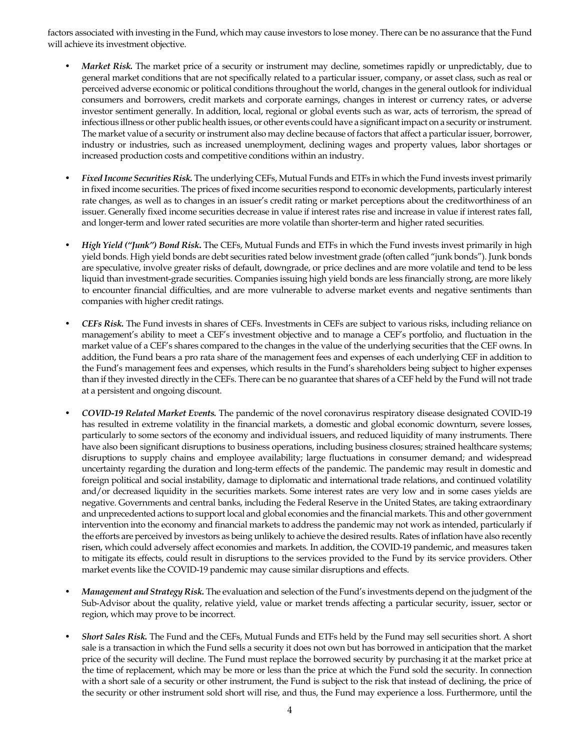factors associated with investing in the Fund, which may cause investors to lose money. There can be no assurance that the Fund will achieve its investment objective.

- *Market Risk*. The market price of a security or instrument may decline, sometimes rapidly or unpredictably, due to general market conditions that are not specifically related to a particular issuer, company, or asset class, such as real or perceived adverse economic or political conditions throughout the world, changes in the general outlook for individual consumers and borrowers, credit markets and corporate earnings, changes in interest or currency rates, or adverse investor sentiment generally. In addition, local, regional or global events such as war, acts of terrorism, the spread of infectious illness or other public health issues, or other events could have a significant impact on a security or instrument. The market value of a security or instrument also may decline because of factors that affect a particular issuer, borrower, industry or industries, such as increased unemployment, declining wages and property values, labor shortages or increased production costs and competitive conditions within an industry.
- *Fixed Income Securities Risk.* The underlying CEFs, Mutual Funds and ETFs in which the Fund invests invest primarily in fixed income securities. The prices of fixed income securities respond to economic developments, particularly interest rate changes, as well as to changes in an issuer's credit rating or market perceptions about the creditworthiness of an issuer. Generally fixed income securities decrease in value if interest rates rise and increase in value if interest rates fall, and longer-term and lower rated securities are more volatile than shorter-term and higher rated securities.
- *High Yield ("Junk") Bond Risk***.** The CEFs, Mutual Funds and ETFs in which the Fund invests invest primarily in high yield bonds. High yield bonds are debt securities rated below investment grade (often called "junk bonds"). Junk bonds are speculative, involve greater risks of default, downgrade, or price declines and are more volatile and tend to be less liquid than investment-grade securities. Companies issuing high yield bonds are less financially strong, are more likely to encounter financial difficulties, and are more vulnerable to adverse market events and negative sentiments than companies with higher credit ratings.
- *CEFs Risk.* The Fund invests in shares of CEFs. Investments in CEFs are subject to various risks, including reliance on management's ability to meet a CEF's investment objective and to manage a CEF's portfolio, and fluctuation in the market value of a CEF's shares compared to the changes in the value of the underlying securities that the CEF owns. In addition, the Fund bears a pro rata share of the management fees and expenses of each underlying CEF in addition to the Fund's management fees and expenses, which results in the Fund's shareholders being subject to higher expenses than if they invested directly in the CEFs. There can be no guarantee that shares of a CEF held by the Fund will not trade at a persistent and ongoing discount.
- *COVID-19 Related Market Events.* The pandemic of the novel coronavirus respiratory disease designated COVID-19 has resulted in extreme volatility in the financial markets, a domestic and global economic downturn, severe losses, particularly to some sectors of the economy and individual issuers, and reduced liquidity of many instruments. There have also been significant disruptions to business operations, including business closures; strained healthcare systems; disruptions to supply chains and employee availability; large fluctuations in consumer demand; and widespread uncertainty regarding the duration and long-term effects of the pandemic. The pandemic may result in domestic and foreign political and social instability, damage to diplomatic and international trade relations, and continued volatility and/or decreased liquidity in the securities markets. Some interest rates are very low and in some cases yields are negative. Governments and central banks, including the Federal Reserve in the United States, are taking extraordinary and unprecedented actions to support local and global economies and the financial markets. This and other government intervention into the economy and financial markets to address the pandemic may not work as intended, particularly if the efforts are perceived by investors as being unlikely to achieve the desired results. Rates of inflation have also recently risen, which could adversely affect economies and markets. In addition, the COVID-19 pandemic, and measures taken to mitigate its effects, could result in disruptions to the services provided to the Fund by its service providers. Other market events like the COVID-19 pandemic may cause similar disruptions and effects.
- *Management and Strategy Risk.* The evaluation and selection of the Fund's investments depend on the judgment of the Sub-Advisor about the quality, relative yield, value or market trends affecting a particular security, issuer, sector or region, which may prove to be incorrect.
- *Short Sales Risk.* The Fund and the CEFs, Mutual Funds and ETFs held by the Fund may sell securities short. A short sale is a transaction in which the Fund sells a security it does not own but has borrowed in anticipation that the market price of the security will decline. The Fund must replace the borrowed security by purchasing it at the market price at the time of replacement, which may be more or less than the price at which the Fund sold the security. In connection with a short sale of a security or other instrument, the Fund is subject to the risk that instead of declining, the price of the security or other instrument sold short will rise, and thus, the Fund may experience a loss. Furthermore, until the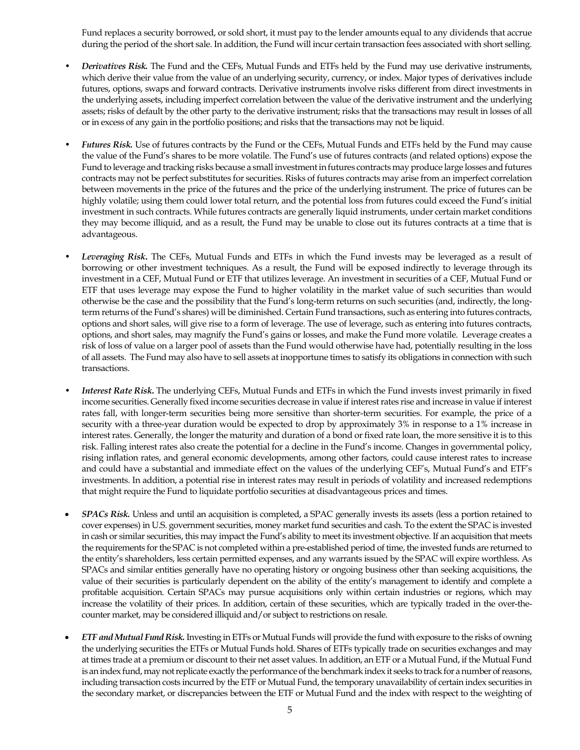Fund replaces a security borrowed, or sold short, it must pay to the lender amounts equal to any dividends that accrue during the period of the short sale. In addition, the Fund will incur certain transaction fees associated with short selling.

- *Derivatives Risk.* The Fund and the CEFs, Mutual Funds and ETFs held by the Fund may use derivative instruments, which derive their value from the value of an underlying security, currency, or index. Major types of derivatives include futures, options, swaps and forward contracts. Derivative instruments involve risks different from direct investments in the underlying assets, including imperfect correlation between the value of the derivative instrument and the underlying assets; risks of default by the other party to the derivative instrument; risks that the transactions may result in losses of all or in excess of any gain in the portfolio positions; and risks that the transactions may not be liquid.
- *Futures Risk.* Use of futures contracts by the Fund or the CEFs, Mutual Funds and ETFs held by the Fund may cause the value of the Fund's shares to be more volatile. The Fund's use of futures contracts (and related options) expose the Fund to leverage and tracking risks because a small investment in futures contracts may produce large losses and futures contracts may not be perfect substitutes for securities. Risks of futures contracts may arise from an imperfect correlation between movements in the price of the futures and the price of the underlying instrument. The price of futures can be highly volatile; using them could lower total return, and the potential loss from futures could exceed the Fund's initial investment in such contracts. While futures contracts are generally liquid instruments, under certain market conditions they may become illiquid, and as a result, the Fund may be unable to close out its futures contracts at a time that is advantageous.
- *Leveraging Risk***.** The CEFs, Mutual Funds and ETFs in which the Fund invests may be leveraged as a result of borrowing or other investment techniques. As a result, the Fund will be exposed indirectly to leverage through its investment in a CEF, Mutual Fund or ETF that utilizes leverage. An investment in securities of a CEF, Mutual Fund or ETF that uses leverage may expose the Fund to higher volatility in the market value of such securities than would otherwise be the case and the possibility that the Fund's long-term returns on such securities (and, indirectly, the longterm returns of the Fund's shares) will be diminished. Certain Fund transactions, such as entering into futures contracts, options and short sales, will give rise to a form of leverage. The use of leverage, such as entering into futures contracts, options, and short sales, may magnify the Fund's gains or losses, and make the Fund more volatile. Leverage creates a risk of loss of value on a larger pool of assets than the Fund would otherwise have had, potentially resulting in the loss of all assets. The Fund may also have to sell assets at inopportune times to satisfy its obligations in connection with such transactions.
- *Interest Rate Risk***.** The underlying CEFs, Mutual Funds and ETFs in which the Fund invests invest primarily in fixed income securities. Generally fixed income securities decrease in value if interest rates rise and increase in value if interest rates fall, with longer-term securities being more sensitive than shorter-term securities. For example, the price of a security with a three-year duration would be expected to drop by approximately 3% in response to a 1% increase in interest rates. Generally, the longer the maturity and duration of a bond or fixed rate loan, the more sensitive it is to this risk. Falling interest rates also create the potential for a decline in the Fund's income. Changes in governmental policy, rising inflation rates, and general economic developments, among other factors, could cause interest rates to increase and could have a substantial and immediate effect on the values of the underlying CEF's, Mutual Fund's and ETF's investments. In addition, a potential rise in interest rates may result in periods of volatility and increased redemptions that might require the Fund to liquidate portfolio securities at disadvantageous prices and times.
- *SPACs Risk.* Unless and until an acquisition is completed, a SPAC generally invests its assets (less a portion retained to cover expenses) in U.S. government securities, money market fund securities and cash. To the extent the SPAC is invested in cash or similar securities, this may impact the Fund's ability to meet its investment objective. If an acquisition that meets the requirements for the SPAC is not completed within a pre-established period of time, the invested funds are returned to the entity's shareholders, less certain permitted expenses, and any warrants issued by the SPAC will expire worthless. As SPACs and similar entities generally have no operating history or ongoing business other than seeking acquisitions, the value of their securities is particularly dependent on the ability of the entity's management to identify and complete a profitable acquisition. Certain SPACs may pursue acquisitions only within certain industries or regions, which may increase the volatility of their prices. In addition, certain of these securities, which are typically traded in the over-thecounter market, may be considered illiquid and/or subject to restrictions on resale.
- *ETF and Mutual Fund Risk.* Investing in ETFs or Mutual Funds will provide the fund with exposure to the risks of owning the underlying securities the ETFs or Mutual Funds hold. Shares of ETFs typically trade on securities exchanges and may at times trade at a premium or discount to their net asset values. In addition, an ETF or a Mutual Fund, if the Mutual Fund is an index fund, may not replicate exactly the performance of the benchmark index it seeks to track for a number of reasons, including transaction costs incurred by the ETF or Mutual Fund, the temporary unavailability of certain index securities in the secondary market, or discrepancies between the ETF or Mutual Fund and the index with respect to the weighting of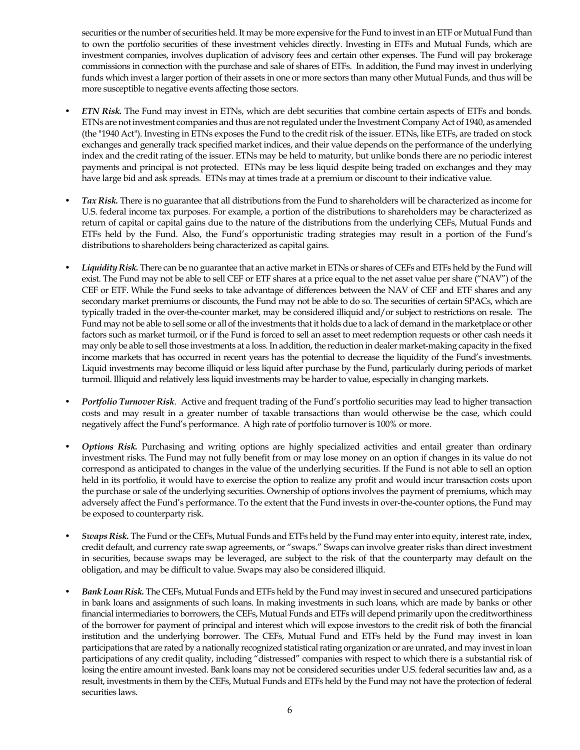securities or the number of securities held. It may be more expensive for the Fund to invest in an ETF or Mutual Fund than to own the portfolio securities of these investment vehicles directly. Investing in ETFs and Mutual Funds, which are investment companies, involves duplication of advisory fees and certain other expenses. The Fund will pay brokerage commissions in connection with the purchase and sale of shares of ETFs. In addition, the Fund may invest in underlying funds which invest a larger portion of their assets in one or more sectors than many other Mutual Funds, and thus will be more susceptible to negative events affecting those sectors.

- *ETN Risk.* The Fund may invest in ETNs, which are debt securities that combine certain aspects of ETFs and bonds. ETNs are not investment companies and thus are not regulated under the Investment Company Act of 1940, as amended (the "1940 Act"). Investing in ETNs exposes the Fund to the credit risk of the issuer. ETNs, like ETFs, are traded on stock exchanges and generally track specified market indices, and their value depends on the performance of the underlying index and the credit rating of the issuer. ETNs may be held to maturity, but unlike bonds there are no periodic interest payments and principal is not protected. ETNs may be less liquid despite being traded on exchanges and they may have large bid and ask spreads. ETNs may at times trade at a premium or discount to their indicative value.
- *Tax Risk.* There is no guarantee that all distributions from the Fund to shareholders will be characterized as income for U.S. federal income tax purposes. For example, a portion of the distributions to shareholders may be characterized as return of capital or capital gains due to the nature of the distributions from the underlying CEFs, Mutual Funds and ETFs held by the Fund. Also, the Fund's opportunistic trading strategies may result in a portion of the Fund's distributions to shareholders being characterized as capital gains.
- Liquidity Risk. There can be no guarantee that an active market in ETNs or shares of CEFs and ETFs held by the Fund will exist. The Fund may not be able to sell CEF or ETF shares at a price equal to the net asset value per share ("NAV") of the CEF or ETF. While the Fund seeks to take advantage of differences between the NAV of CEF and ETF shares and any secondary market premiums or discounts, the Fund may not be able to do so. The securities of certain SPACs, which are typically traded in the over-the-counter market, may be considered illiquid and/or subject to restrictions on resale. The Fund may not be able to sell some or all of the investments that it holds due to a lack of demand in the marketplace or other factors such as market turmoil, or if the Fund is forced to sell an asset to meet redemption requests or other cash needs it may only be able to sell those investments at a loss. In addition, the reduction in dealer market-making capacity in the fixed income markets that has occurred in recent years has the potential to decrease the liquidity of the Fund's investments. Liquid investments may become illiquid or less liquid after purchase by the Fund, particularly during periods of market turmoil. Illiquid and relatively less liquid investments may be harder to value, especially in changing markets.
- *Portfolio Turnover Risk*. Active and frequent trading of the Fund's portfolio securities may lead to higher transaction costs and may result in a greater number of taxable transactions than would otherwise be the case, which could negatively affect the Fund's performance. A high rate of portfolio turnover is 100% or more.
- *Options Risk.* Purchasing and writing options are highly specialized activities and entail greater than ordinary investment risks. The Fund may not fully benefit from or may lose money on an option if changes in its value do not correspond as anticipated to changes in the value of the underlying securities. If the Fund is not able to sell an option held in its portfolio, it would have to exercise the option to realize any profit and would incur transaction costs upon the purchase or sale of the underlying securities. Ownership of options involves the payment of premiums, which may adversely affect the Fund's performance. To the extent that the Fund invests in over-the-counter options, the Fund may be exposed to counterparty risk.
- *Swaps Risk.* The Fund or the CEFs, Mutual Funds and ETFs held by the Fund may enter into equity, interest rate, index, credit default, and currency rate swap agreements, or "swaps." Swaps can involve greater risks than direct investment in securities, because swaps may be leveraged, are subject to the risk of that the counterparty may default on the obligation, and may be difficult to value. Swaps may also be considered illiquid.
- *Bank Loan Risk.* The CEFs, Mutual Funds and ETFs held by the Fund may invest in secured and unsecured participations in bank loans and assignments of such loans. In making investments in such loans, which are made by banks or other financial intermediaries to borrowers, the CEFs, Mutual Funds and ETFs will depend primarily upon the creditworthiness of the borrower for payment of principal and interest which will expose investors to the credit risk of both the financial institution and the underlying borrower. The CEFs, Mutual Fund and ETFs held by the Fund may invest in loan participations that are rated by a nationally recognized statistical rating organization or are unrated, and may invest in loan participations of any credit quality, including "distressed" companies with respect to which there is a substantial risk of losing the entire amount invested. Bank loans may not be considered securities under U.S. federal securities law and, as a result, investments in them by the CEFs, Mutual Funds and ETFs held by the Fund may not have the protection of federal securities laws.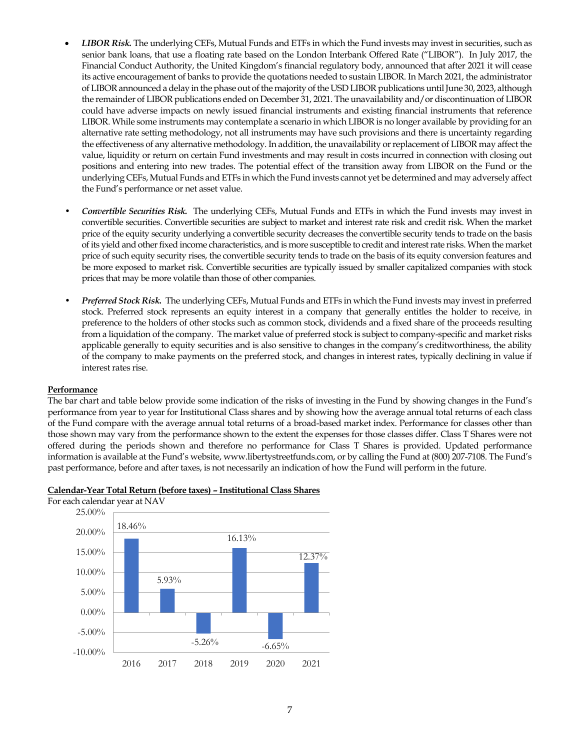- *LIBOR Risk.* The underlying CEFs, Mutual Funds and ETFs in which the Fund invests may invest in securities, such as senior bank loans, that use a floating rate based on the London Interbank Offered Rate ("LIBOR"). In July 2017, the Financial Conduct Authority, the United Kingdom's financial regulatory body, announced that after 2021 it will cease its active encouragement of banks to provide the quotations needed to sustain LIBOR. In March 2021, the administrator of LIBOR announced a delay in the phase out of the majority of the USD LIBOR publications until June 30, 2023, although the remainder of LIBOR publications ended on December 31, 2021. The unavailability and/or discontinuation of LIBOR could have adverse impacts on newly issued financial instruments and existing financial instruments that reference LIBOR. While some instruments may contemplate a scenario in which LIBOR is no longer available by providing for an alternative rate setting methodology, not all instruments may have such provisions and there is uncertainty regarding the effectiveness of any alternative methodology. In addition, the unavailability or replacement of LIBOR may affect the value, liquidity or return on certain Fund investments and may result in costs incurred in connection with closing out positions and entering into new trades. The potential effect of the transition away from LIBOR on the Fund or the underlying CEFs, Mutual Funds and ETFs in which the Fund invests cannot yet be determined and may adversely affect the Fund's performance or net asset value.
- *Convertible Securities Risk.* The underlying CEFs, Mutual Funds and ETFs in which the Fund invests may invest in convertible securities. Convertible securities are subject to market and interest rate risk and credit risk. When the market price of the equity security underlying a convertible security decreases the convertible security tends to trade on the basis of its yield and other fixed income characteristics, and is more susceptible to credit and interest rate risks. When the market price of such equity security rises, the convertible security tends to trade on the basis of its equity conversion features and be more exposed to market risk. Convertible securities are typically issued by smaller capitalized companies with stock prices that may be more volatile than those of other companies.
- *Preferred Stock Risk.* The underlying CEFs, Mutual Funds and ETFs in which the Fund invests may invest in preferred stock. Preferred stock represents an equity interest in a company that generally entitles the holder to receive, in preference to the holders of other stocks such as common stock, dividends and a fixed share of the proceeds resulting from a liquidation of the company. The market value of preferred stock is subject to company-specific and market risks applicable generally to equity securities and is also sensitive to changes in the company's creditworthiness, the ability of the company to make payments on the preferred stock, and changes in interest rates, typically declining in value if interest rates rise.

#### **Performance**

The bar chart and table below provide some indication of the risks of investing in the Fund by showing changes in the Fund's performance from year to year for Institutional Class shares and by showing how the average annual total returns of each class of the Fund compare with the average annual total returns of a broad-based market index. Performance for classes other than those shown may vary from the performance shown to the extent the expenses for those classes differ. Class T Shares were not offered during the periods shown and therefore no performance for Class T Shares is provided. Updated performance information is available at the Fund's website, www.libertystreetfunds.com, or by calling the Fund at (800) 207-7108. The Fund's past performance, before and after taxes, is not necessarily an indication of how the Fund will perform in the future.



#### **Calendar-Year Total Return (before taxes) – Institutional Class Shares**